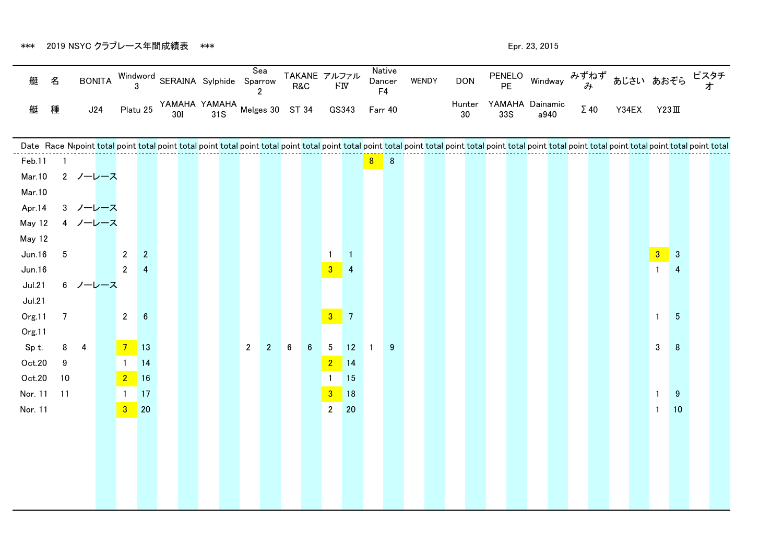\*\*\* 2019 NSYC クラブレース年間成績表 \*\*\* そうちょう しょうしょう しょうしょう しゅうしょう しゅうしゅん しゅっとり しゅっとりょう

| 艇             | 名               |             | <b>BONITA</b> |                               |                 | Windword<br>3 SERAINA Sylphide Sparrow |  | Sea<br>$\overline{2}$ |                | TAKANE アルファル<br>R&C |                 | $\mathsf{F}\mathrm{I}\mathrm{V}$ |                  | F <sub>4</sub> | Native<br>Dancer | <b>WENDY</b> | <b>DON</b>                                                                                                                                                                                                                    |     |                                |             | PENELO Windway みずねず あじさい あおぞら ピスタチ |                                                           |   |  |
|---------------|-----------------|-------------|---------------|-------------------------------|-----------------|----------------------------------------|--|-----------------------|----------------|---------------------|-----------------|----------------------------------|------------------|----------------|------------------|--------------|-------------------------------------------------------------------------------------------------------------------------------------------------------------------------------------------------------------------------------|-----|--------------------------------|-------------|------------------------------------|-----------------------------------------------------------|---|--|
| 艇             | 種               | J24         |               | Platu 25                      |                 |                                        |  |                       |                |                     |                 | GS343                            |                  | Farr 40        |                  |              | 30                                                                                                                                                                                                                            | 33S | Hunter YAMAHA Dainamic<br>a940 | $\Sigma$ 40 | Y34EX                              | $Y23\Pi$                                                  |   |  |
|               |                 |             |               |                               |                 |                                        |  |                       |                |                     |                 |                                  |                  |                |                  |              |                                                                                                                                                                                                                               |     |                                |             |                                    |                                                           |   |  |
| Feb.11        |                 |             |               |                               |                 |                                        |  |                       |                |                     |                 |                                  |                  |                |                  |              | Date Race Nopoint total point total point total point total point total point total point total point total point total point total point total point total point total point total point total point total point total point |     |                                |             |                                    |                                                           |   |  |
| Mar.10        |                 | 2 ノーレース     |               |                               |                 |                                        |  |                       |                |                     |                 |                                  |                  | 8 8            |                  |              |                                                                                                                                                                                                                               |     |                                |             |                                    |                                                           |   |  |
| Mar.10        |                 |             |               |                               |                 |                                        |  |                       |                |                     |                 |                                  |                  |                |                  |              |                                                                                                                                                                                                                               |     |                                |             |                                    |                                                           |   |  |
| Apr.14        |                 | 3 ノーレース     |               |                               |                 |                                        |  |                       |                |                     |                 |                                  |                  |                |                  |              |                                                                                                                                                                                                                               |     |                                |             |                                    |                                                           |   |  |
| May 12        |                 | 4 ノーレース     |               |                               |                 |                                        |  |                       |                |                     |                 |                                  |                  |                |                  |              |                                                                                                                                                                                                                               |     |                                |             |                                    |                                                           |   |  |
| May 12        |                 |             |               |                               |                 |                                        |  |                       |                |                     |                 |                                  |                  |                |                  |              |                                                                                                                                                                                                                               |     |                                |             |                                    |                                                           |   |  |
| Jun.16        | $5\phantom{.0}$ |             |               | $\overline{2}$                | $\mathbf{2}$    |                                        |  |                       |                |                     |                 | $\mathbf{1}$                     | $\blacksquare$ 1 |                |                  |              |                                                                                                                                                                                                                               |     |                                |             |                                    | $\begin{array}{ c c } \hline 3 & 3 \\ \hline \end{array}$ |   |  |
| Jun.16        |                 |             |               | $2^{\circ}$                   | $\overline{4}$  |                                        |  |                       |                |                     |                 | 3                                | -4               |                |                  |              |                                                                                                                                                                                                                               |     |                                |             |                                    | $\mathbf{1}$                                              | 4 |  |
| <b>Jul.21</b> |                 | 6 ノーレース     |               |                               |                 |                                        |  |                       |                |                     |                 |                                  |                  |                |                  |              |                                                                                                                                                                                                                               |     |                                |             |                                    |                                                           |   |  |
| Jul.21        |                 |             |               |                               |                 |                                        |  |                       |                |                     |                 |                                  |                  |                |                  |              |                                                                                                                                                                                                                               |     |                                |             |                                    |                                                           |   |  |
| Org.11        | $\overline{7}$  |             |               | $2^{\circ}$                   | $6\phantom{.}6$ |                                        |  |                       |                |                     |                 | $3 \overline{)}7$                |                  |                |                  |              |                                                                                                                                                                                                                               |     |                                |             |                                    | 5<br>$\mathbf{1}$                                         |   |  |
| Org.11        |                 |             |               |                               |                 |                                        |  |                       |                |                     |                 |                                  |                  |                |                  |              |                                                                                                                                                                                                                               |     |                                |             |                                    |                                                           |   |  |
| Sp t.         |                 | $8 \quad 4$ |               | $7 \overline{\phantom{0}}$ 13 |                 |                                        |  | $2\overline{ }$       | $\overline{2}$ | $6\phantom{.0}$     | $6\phantom{.}6$ | $5\phantom{.0}$                  | 12               |                | $\boldsymbol{9}$ |              |                                                                                                                                                                                                                               |     |                                |             |                                    | 3 <sup>1</sup><br>8                                       |   |  |
| Oct.20        | 9               |             |               |                               | 14              |                                        |  |                       |                |                     |                 | $\overline{2}$                   | 14               |                |                  |              |                                                                                                                                                                                                                               |     |                                |             |                                    |                                                           |   |  |
| Oct.20        | 10              |             |               | $2 \t16$                      |                 |                                        |  |                       |                |                     |                 |                                  | 15               |                |                  |              |                                                                                                                                                                                                                               |     |                                |             |                                    |                                                           |   |  |
| Nor. 11       | 11              |             |               | $\mathbf{1}$                  | 17              |                                        |  |                       |                |                     |                 | $\overline{3}$                   | 18               |                |                  |              |                                                                                                                                                                                                                               |     |                                |             |                                    | $\mathbf{1}$                                              | 9 |  |
| Nor. 11       |                 |             |               | $3 \overline{\smash)20}$      |                 |                                        |  |                       |                |                     |                 | $2\overline{ }$                  | 20               |                |                  |              |                                                                                                                                                                                                                               |     |                                |             |                                    | 10<br>$\mathbf{1}$                                        |   |  |
|               |                 |             |               |                               |                 |                                        |  |                       |                |                     |                 |                                  |                  |                |                  |              |                                                                                                                                                                                                                               |     |                                |             |                                    |                                                           |   |  |
|               |                 |             |               |                               |                 |                                        |  |                       |                |                     |                 |                                  |                  |                |                  |              |                                                                                                                                                                                                                               |     |                                |             |                                    |                                                           |   |  |
|               |                 |             |               |                               |                 |                                        |  |                       |                |                     |                 |                                  |                  |                |                  |              |                                                                                                                                                                                                                               |     |                                |             |                                    |                                                           |   |  |
|               |                 |             |               |                               |                 |                                        |  |                       |                |                     |                 |                                  |                  |                |                  |              |                                                                                                                                                                                                                               |     |                                |             |                                    |                                                           |   |  |
|               |                 |             |               |                               |                 |                                        |  |                       |                |                     |                 |                                  |                  |                |                  |              |                                                                                                                                                                                                                               |     |                                |             |                                    |                                                           |   |  |
|               |                 |             |               |                               |                 |                                        |  |                       |                |                     |                 |                                  |                  |                |                  |              |                                                                                                                                                                                                                               |     |                                |             |                                    |                                                           |   |  |